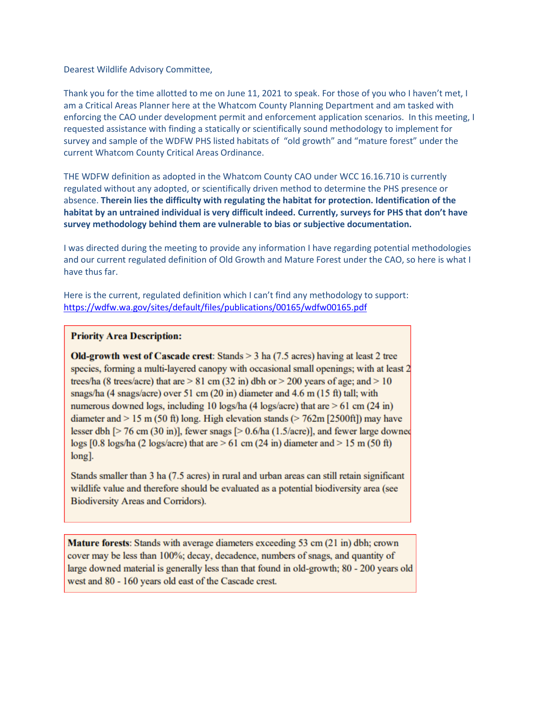Dearest Wildlife Advisory Committee,

Thank you for the time allotted to me on June 11, 2021 to speak. For those of you who I haven't met, I am a Critical Areas Planner here at the Whatcom County Planning Department and am tasked with enforcing the CAO under development permit and enforcement application scenarios. In this meeting, I requested assistance with finding a statically or scientifically sound methodology to implement for survey and sample of the WDFW PHS listed habitats of "old growth" and "mature forest" under the current Whatcom County Critical Areas Ordinance.

THE WDFW definition as adopted in the Whatcom County CAO under WCC 16.16.710 is currently regulated without any adopted, or scientifically driven method to determine the PHS presence or absence. **Therein lies the difficulty with regulating the habitat for protection. Identification of the habitat by an untrained individual is very difficult indeed. Currently, surveys for PHS that don't have survey methodology behind them are vulnerable to bias or subjective documentation.** 

I was directed during the meeting to provide any information I have regarding potential methodologies and our current regulated definition of Old Growth and Mature Forest under the CAO, so here is what I have thus far.

Here is the current, regulated definition which I can't find any methodology to support: [https://wdfw.wa.gov/sites/default/files/publications/00165/wdfw00165.pdf](https://nam11.safelinks.protection.outlook.com/?url=https%3A%2F%2Fwdfw.wa.gov%2Fsites%2Fdefault%2Ffiles%2Fpublications%2F00165%2Fwdfw00165.pdf&data=04%7C01%7CADearbor%40co.whatcom.wa.us%7C27bdd2cc8f9e470108f808d935cd444e%7C2122bbce9a1d4565931b0c534ef12e43%7C0%7C0%7C637599978011581955%7CUnknown%7CTWFpbGZsb3d8eyJWIjoiMC4wLjAwMDAiLCJQIjoiV2luMzIiLCJBTiI6Ik1haWwiLCJXVCI6Mn0%3D%7C1000&sdata=kTyurBaha5AIT232%2FNXIMMfJwSYSIzRHzsS8hUBfNR4%3D&reserved=0)

## **Priority Area Description:**

**Old-growth west of Cascade crest:** Stands  $>$  3 ha (7.5 acres) having at least 2 tree species, forming a multi-layered canopy with occasional small openings; with at least 2 trees/ha (8 trees/acre) that are  $> 81$  cm (32 in) dbh or  $> 200$  years of age; and  $> 10$ snags/ha (4 snags/acre) over 51 cm (20 in) diameter and 4.6 m (15 ft) tall; with numerous downed logs, including 10 logs/ha (4 logs/acre) that are  $> 61$  cm (24 in) diameter and  $> 15$  m (50 ft) long. High elevation stands ( $> 762$ m [2500ft]) may have lesser dbh [ $> 76$  cm (30 in)], fewer snags [ $> 0.6/ha$  (1.5/acre)], and fewer large downed  $\log s$  [0.8  $\log s$ /ha (2  $\log s$ /acre) that are > 61 cm (24 in) diameter and > 15 m (50 ft)  $long$ .

Stands smaller than 3 ha (7.5 acres) in rural and urban areas can still retain significant wildlife value and therefore should be evaluated as a potential biodiversity area (see Biodiversity Areas and Corridors).

Mature forests: Stands with average diameters exceeding 53 cm (21 in) dbh; crown cover may be less than 100%; decay, decadence, numbers of snags, and quantity of large downed material is generally less than that found in old-growth; 80 - 200 years old west and 80 - 160 years old east of the Cascade crest.